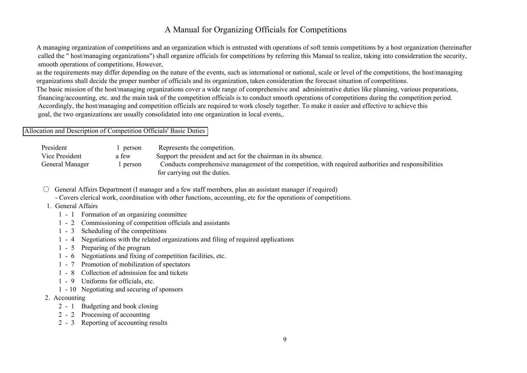## A Manual for Organizing Officials for Competitions

 A managing organization of competitions and an organization which is entrusted with operations of soft tennis competitions by a host organization (hereinafter called the " host/managing organizations") shall organize officials for competitions by referring this Manual to realize, taking into consideration the security, smooth operations of competitions. However,

 as the requirements may differ depending on the nature of the events, such as international or national, scale or level of the competitions, the host/managing organizations shall decide the proper number of officials and its organization, taken consideration the forecast situation of competitions.

 The basic mission of the host/managing organizations cover a wide range of comprehensive and administrative duties like planning, various preparations, financing/accounting, etc. and the main task of the competition officials is to conduct smooth operations of competitions during the competition period. Accordingly, the host/managing and competition officials are required to work closely together. To make it easier and effective to achieve this goal, the two organizations are usually consolidated into one organization in local events,.

## Allocation and Description of Competition Officials' Basic Duties

| President       | 1 person | Represents the competition.                                                                          |
|-----------------|----------|------------------------------------------------------------------------------------------------------|
| Vice President  | a few    | Support the president and act for the chairman in its absence.                                       |
| General Manager | person   | Conducts comprehensive management of the competition, with required authorities and responsibilities |
|                 |          | for carrying out the duties.                                                                         |

- General Affairs Department (I manager and a few staff members, plus an assistant manager if required)
	- Covers clerical work, coordination with other functions, accounting, etc for the operations of competitions.
- 1. General Affairs
	- 1 1 Formation of an organizing committee
	- 1 2 Commissioning of competition officials and assistants
	- 1 3 Scheduling of the competitions
	- 1 4 Negotiations with the related organizations and filing of required applications
	- 1 5 Preparing of the program
	- 1 6 Negotiations and fixing of competition facilities, etc.
	- 1 7 Promotion of mobilization of spectators
	- 1 8 Collection of admission fee and tickets
	- 1 9 Uniforms for officials, etc.
	- 1 10 Negotiating and securing of sponsors
- 2. Accounting
	- 2 1 Budgeting and book closing
	- 2 2 Processing of accounting
	- 2 3 Reporting of accounting results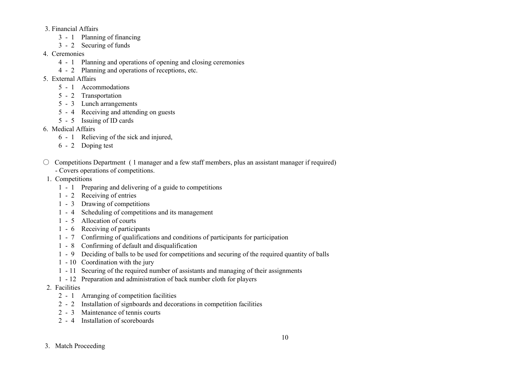- 3. Financial Affairs
	- 3 1 Planning of financing
	- 3 2 Securing of funds
- 4. Ceremonies
	- 4 1 Planning and operations of opening and closing ceremonies
	- 4 2 Planning and operations of receptions, etc.
- 5. External Affairs
	- 5 1 Accommodations
	- 5 2 Transportation
	- 5 3 Lunch arrangements
	- 5 4 Receiving and attending on guests
	- 5 5 Issuing of ID cards
- 6. Medical Affairs
	- 6 1 Relieving of the sick and injured,
	- 6 2 Doping test
- $\circ$  Competitions Department (1 manager and a few staff members, plus an assistant manager if required) - Covers operations of competitions.
- 1. Competitions
	- 1 1 Preparing and delivering of a guide to competitions
	- 1 2 Receiving of entries
	- 1 3 Drawing of competitions
	- 1 4 Scheduling of competitions and its management
	- 1 5 Allocation of courts
	- 1 6 Receiving of participants
	- 1 7 Confirming of qualifications and conditions of participants for participation
	- 1 8 Confirming of default and disqualification
	- 1 9 Deciding of balls to be used for competitions and securing of the required quantity of balls
	- 1 10 Coordination with the jury
	- 1 11 Securing of the required number of assistants and managing of their assignments
	- 1 12 Preparation and administration of back number cloth for players
- 2. Facilities
	- 2 1 Arranging of competition facilities
	- 2 2 Installation of signboards and decorations in competition facilities
	- 2 3 Maintenance of tennis courts
	- 2 4 Installation of scoreboards

## 3. Match Proceeding